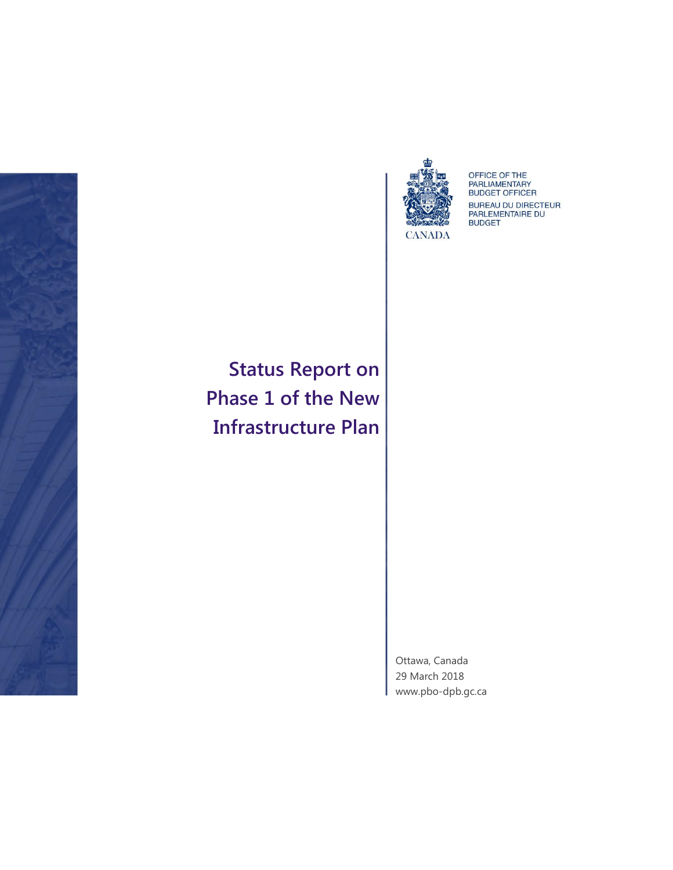



OFFICE OF THE<br>PARLIAMENTARY<br>BUDGET OFFICER BUREAU DU DIRECTEUR<br>PARLEMENTAIRE DU<br>BUDGET

**Status Report on Phase 1 of the New Infrastructure Plan**

> Ottawa, Canada 29 March 2018 [www.pbo-dpb.gc.ca](http://www.pbo-dpb.gc.ca/)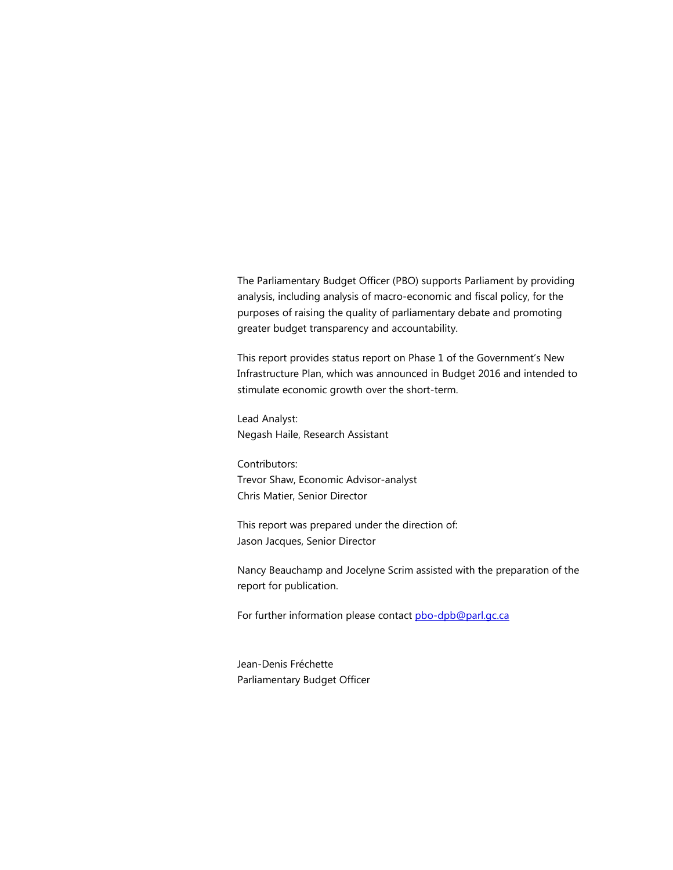The Parliamentary Budget Officer (PBO) supports Parliament by providing analysis, including analysis of macro-economic and fiscal policy, for the purposes of raising the quality of parliamentary debate and promoting greater budget transparency and accountability.

This report provides status report on Phase 1 of the Government's New Infrastructure Plan, which was announced in Budget 2016 and intended to stimulate economic growth over the short-term.

Lead Analyst: Negash Haile, Research Assistant

Contributors: Trevor Shaw, Economic Advisor-analyst Chris Matier, Senior Director

This report was prepared under the direction of: Jason Jacques, Senior Director

Nancy Beauchamp and Jocelyne Scrim assisted with the preparation of the report for publication.

For further information please contac[t pbo-dpb@parl.gc.ca](mailto:pbo-dpb@parl.gc.ca)

Jean-Denis Fréchette Parliamentary Budget Officer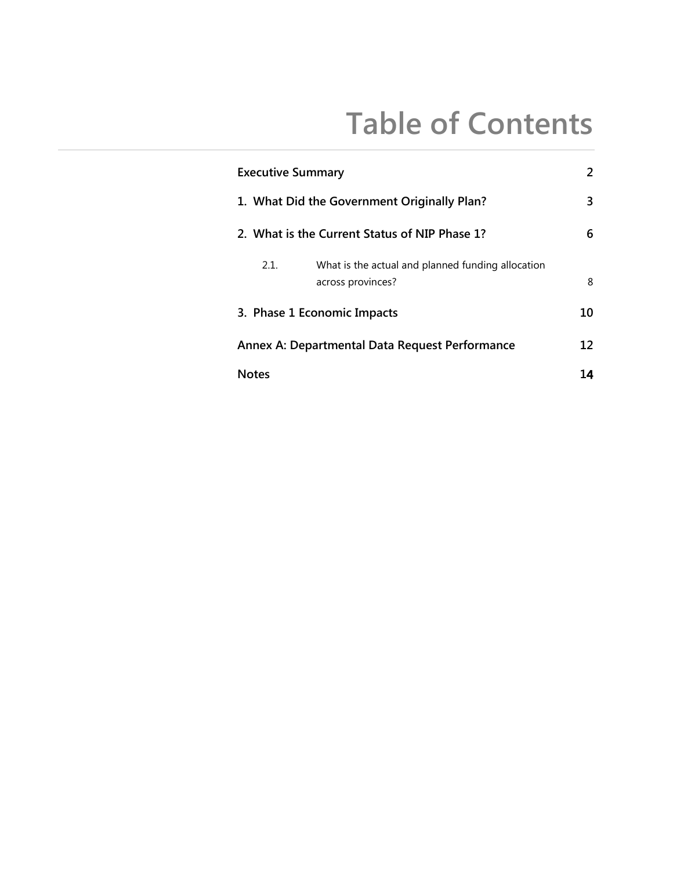# **Table of Contents**

| <b>Executive Summary</b>                       |                                                                        | 2  |
|------------------------------------------------|------------------------------------------------------------------------|----|
| 1. What Did the Government Originally Plan?    |                                                                        |    |
|                                                | 2. What is the Current Status of NIP Phase 1?                          | 6  |
| 2.1.                                           | What is the actual and planned funding allocation<br>across provinces? | 8  |
|                                                | 3. Phase 1 Economic Impacts                                            | 10 |
| Annex A: Departmental Data Request Performance |                                                                        |    |
| <b>Notes</b>                                   |                                                                        | 14 |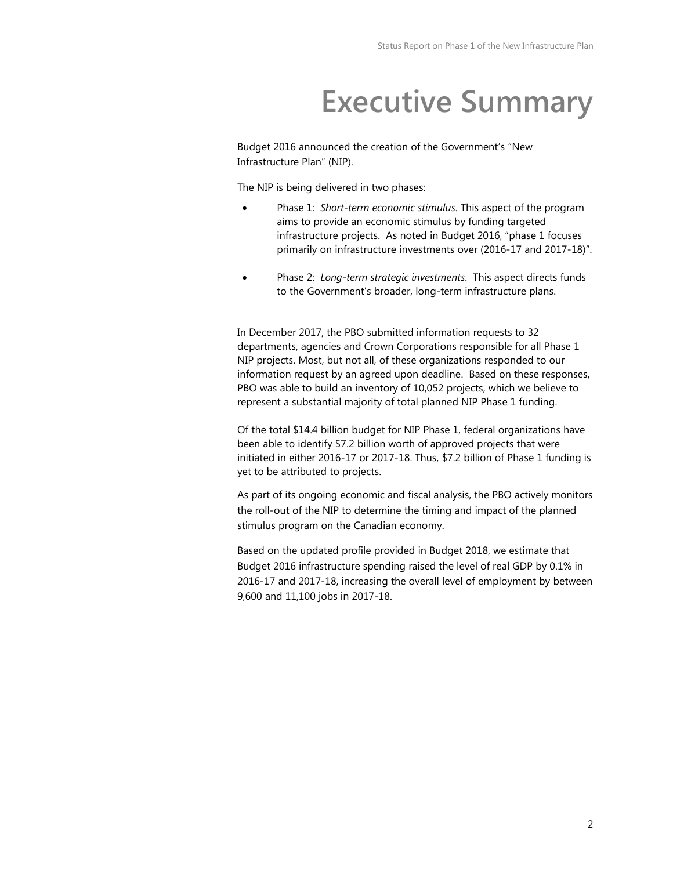## **Executive Summary**

Budget 2016 announced the creation of the Government's "New Infrastructure Plan" (NIP).

The NIP is being delivered in two phases:

- Phase 1: *Short-term economic stimulus*. This aspect of the program aims to provide an economic stimulus by funding targeted infrastructure projects. As noted in Budget 2016, "phase 1 focuses primarily on infrastructure investments over (2016-17 and 2017-18)".
- Phase 2: *Long-term strategic investments*. This aspect directs funds to the Government's broader, long-term infrastructure plans.

In December 2017, the PBO submitted information requests to 32 departments, agencies and Crown Corporations responsible for all Phase 1 NIP projects. Most, but not all, of these organizations responded to our information request by an agreed upon deadline. Based on these responses, PBO was able to build an inventory of 10,052 projects, which we believe to represent a substantial majority of total planned NIP Phase 1 funding.

Of the total \$14.4 billion budget for NIP Phase 1, federal organizations have been able to identify \$7.2 billion worth of approved projects that were initiated in either 2016-17 or 2017-18. Thus, \$7.2 billion of Phase 1 funding is yet to be attributed to projects.

As part of its ongoing economic and fiscal analysis, the PBO actively monitors the roll-out of the NIP to determine the timing and impact of the planned stimulus program on the Canadian economy.

Based on the updated profile provided in Budget 2018, we estimate that Budget 2016 infrastructure spending raised the level of real GDP by 0.1% in 2016-17 and 2017-18, increasing the overall level of employment by between 9,600 and 11,100 jobs in 2017-18.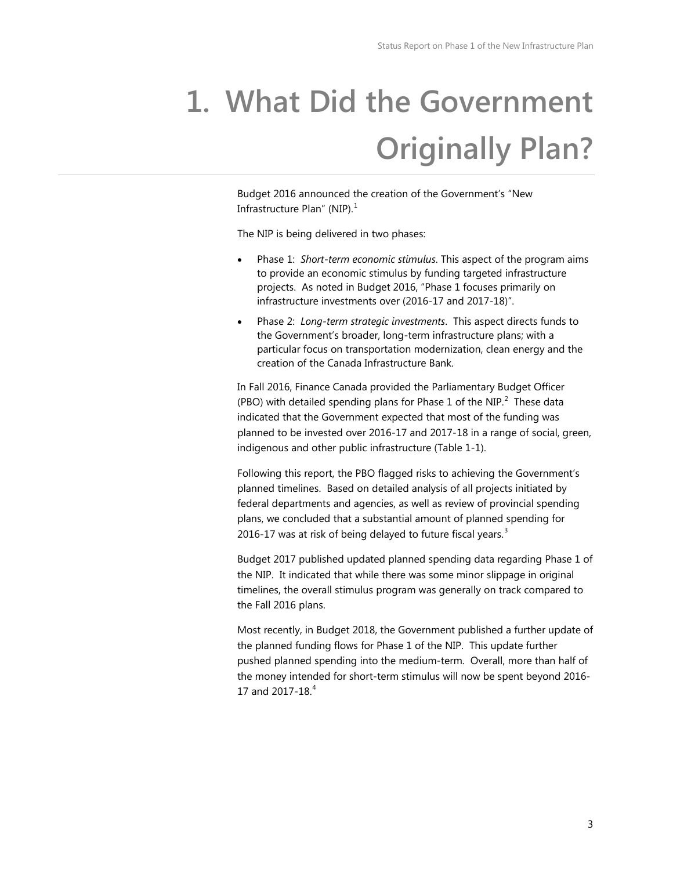# <span id="page-4-0"></span>**1. What Did the Government Originally Plan?**

Budget 2016 announced the creation of the Government's "New Infrastructure Plan" (NIP). $<sup>1</sup>$  $<sup>1</sup>$  $<sup>1</sup>$ </sup>

The NIP is being delivered in two phases:

- Phase 1: *Short-term economic stimulus*. This aspect of the program aims to provide an economic stimulus by funding targeted infrastructure projects. As noted in Budget 2016, "Phase 1 focuses primarily on infrastructure investments over (2016-17 and 2017-18)".
- Phase 2: *Long-term strategic investments*. This aspect directs funds to the Government's broader, long-term infrastructure plans; with a particular focus on transportation modernization, clean energy and the creation of the Canada Infrastructure Bank.

In Fall 2016, Finance Canada provided the Parliamentary Budget Officer (PBO) with detailed spending plans for Phase 1 of the NIP. $^2$  $^2$  These data indicated that the Government expected that most of the funding was planned to be invested over 2016-17 and 2017-18 in a range of social, green, indigenous and other public infrastructure (Table 1-1).

Following this report, the PBO flagged risks to achieving the Government's planned timelines. Based on detailed analysis of all projects initiated by federal departments and agencies, as well as review of provincial spending plans, we concluded that a substantial amount of planned spending for 2016-17 was at risk of being delayed to future fiscal years. $3$ 

Budget 2017 published updated planned spending data regarding Phase 1 of the NIP. It indicated that while there was some minor slippage in original timelines, the overall stimulus program was generally on track compared to the Fall 2016 plans.

Most recently, in Budget 2018, the Government published a further update of the planned funding flows for Phase 1 of the NIP. This update further pushed planned spending into the medium-term. Overall, more than half of the money intended for short-term stimulus will now be spent beyond 2016- 17 and 2017-18.<sup>[4](#page-15-4)</sup>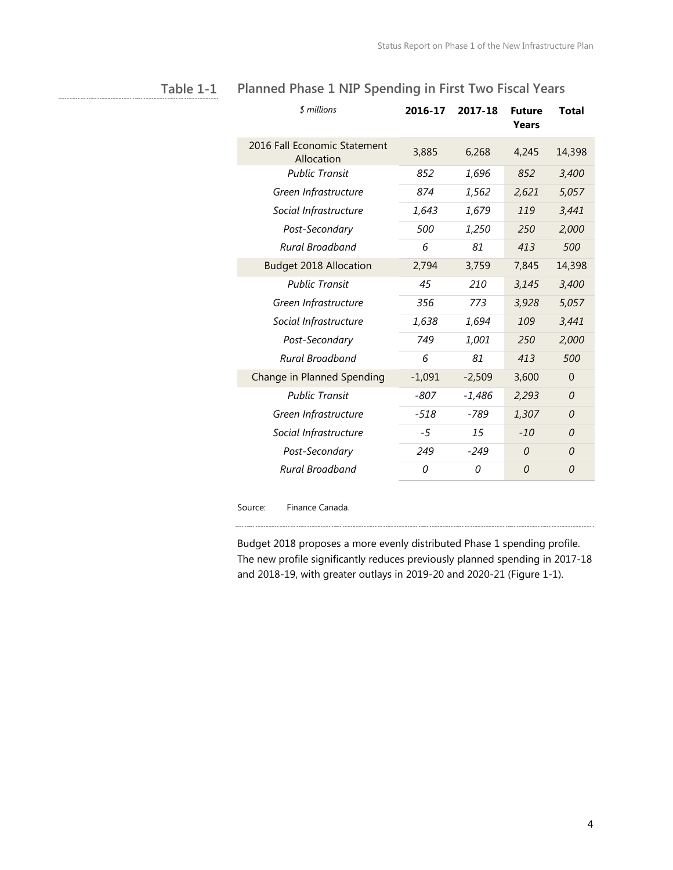| \$ millions                                | 2016-17  | 2017-18  | <b>Future</b><br>Years | Total          |
|--------------------------------------------|----------|----------|------------------------|----------------|
| 2016 Fall Economic Statement<br>Allocation | 3,885    | 6,268    | 4,245                  | 14,398         |
| <b>Public Transit</b>                      | 852      | 1,696    | 852                    | 3,400          |
| Green Infrastructure                       | 874      | 1,562    | 2,621                  | 5,057          |
| Social Infrastructure                      | 1,643    | 1,679    | 119                    | 3,441          |
| Post-Secondary                             | 500      | 1,250    | 250                    | 2,000          |
| Rural Broadband                            | 6        | 81       | 413                    | 500            |
| <b>Budget 2018 Allocation</b>              | 2,794    | 3,759    | 7,845                  | 14,398         |
| <b>Public Transit</b>                      | 45       | 210      | 3,145                  | 3,400          |
| Green Infrastructure                       | 356      | 773      | 3,928                  | 5,057          |
| Social Infrastructure                      | 1,638    | 1,694    | 109                    | 3,441          |
| Post-Secondary                             | 749      | 1,001    | 250                    | 2,000          |
| Rural Broadband                            | 6        | 81       | 413                    | 500            |
| Change in Planned Spending                 | $-1,091$ | $-2,509$ | 3,600                  | $\overline{0}$ |
| <b>Public Transit</b>                      | $-807$   | $-1,486$ | 2,293                  | 0              |
| Green Infrastructure                       | $-518$   | -789     | 1,307                  | 0              |
| Social Infrastructure                      | -5       | 15       | $-10$                  | $\Omega$       |
| Post-Secondary                             | 249      | $-249$   | $\Omega$               | 0              |
| Rural Broadband                            | 0        | 0        | 0                      | 0              |
|                                            |          |          |                        |                |

### **Planned Phase 1 NIP Spending in First Two Fiscal Years Table 1-1**

Source: Finance Canada.

Budget 2018 proposes a more evenly distributed Phase 1 spending profile. The new profile significantly reduces previously planned spending in 2017-18 and 2018-19, with greater outlays in 2019-20 and 2020-21 (Figure 1-1).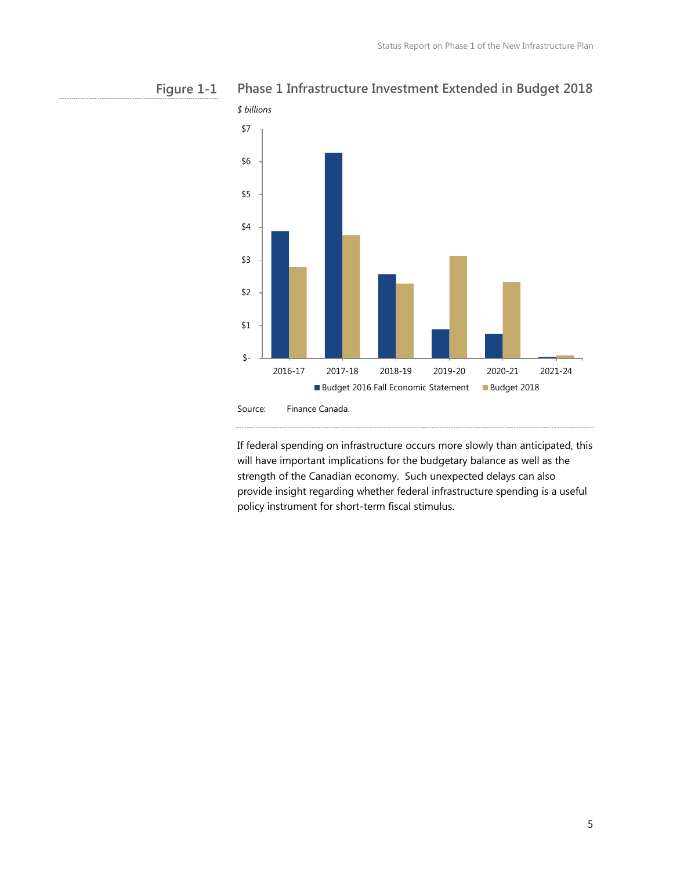



If federal spending on infrastructure occurs more slowly than anticipated, this will have important implications for the budgetary balance as well as the strength of the Canadian economy. Such unexpected delays can also provide insight regarding whether federal infrastructure spending is a useful policy instrument for short-term fiscal stimulus.

<span id="page-6-0"></span>

5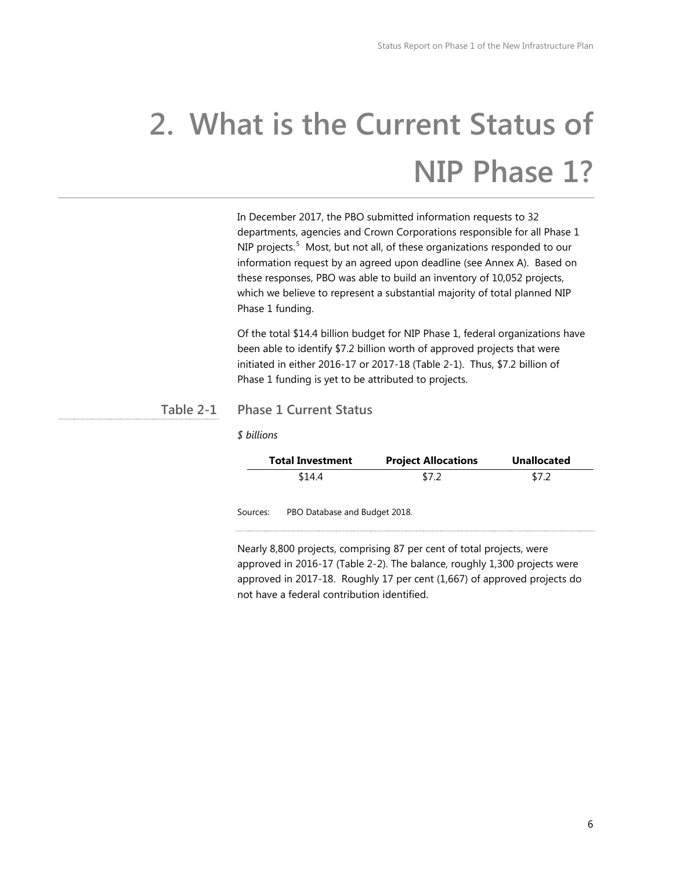# **2. What is the Current Status of NIP Phase 1?**

In December 2017, the PBO submitted information requests to 32 departments, agencies and Crown Corporations responsible for all Phase 1 NIP projects.<sup>[5](#page-15-5)</sup> Most, but not all, of these organizations responded to our information request by an agreed upon deadline (see Annex A). Based on these responses, PBO was able to build an inventory of 10,052 projects, which we believe to represent a substantial majority of total planned NIP Phase 1 funding.

Of the total \$14.4 billion budget for NIP Phase 1, federal organizations have been able to identify \$7.2 billion worth of approved projects that were initiated in either 2016-17 or 2017-18 (Table 2-1). Thus, \$7.2 billion of Phase 1 funding is yet to be attributed to projects.

### **Phase 1 Current Status Table 2-1**

*\$ billions*

|          | <b>Total Investment</b>       | <b>Project Allocations</b> | <b>Unallocated</b> |  |
|----------|-------------------------------|----------------------------|--------------------|--|
|          | \$14.4                        | \$7.2                      | \$7.2              |  |
| Sources: | PBO Database and Budget 2018. |                            |                    |  |

Nearly 8,800 projects, comprising 87 per cent of total projects, were approved in 2016-17 (Table 2-2). The balance, roughly 1,300 projects were approved in 2017-18. Roughly 17 per cent (1,667) of approved projects do not have a federal contribution identified.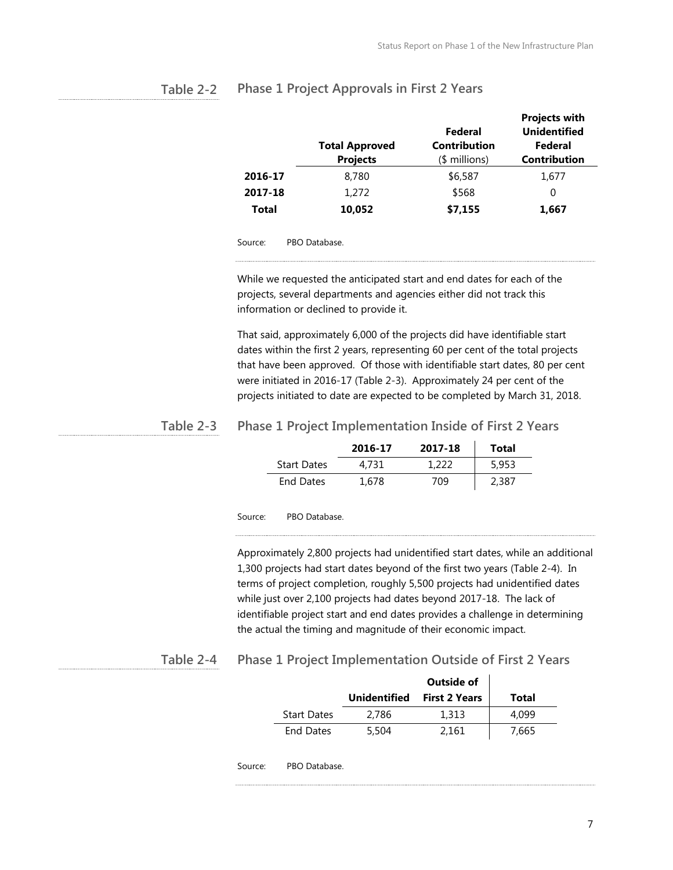|         | <b>Total Approved</b><br><b>Projects</b> | Federal<br><b>Contribution</b><br>$$$ millions) | <b>Projects with</b><br><b>Unidentified</b><br><b>Federal</b><br><b>Contribution</b> |
|---------|------------------------------------------|-------------------------------------------------|--------------------------------------------------------------------------------------|
| 2016-17 | 8,780                                    | \$6,587                                         | 1.677                                                                                |
| 2017-18 | 1,272                                    | \$568                                           | 0                                                                                    |
| Total   | 10,052                                   | \$7,155                                         | 1,667                                                                                |

### <span id="page-8-0"></span>**Phase 1 Project Approvals in First 2 Years Table 2-2**

Source: PBO Database.

While we requested the anticipated start and end dates for each of the projects, several departments and agencies either did not track this information or declined to provide it.

That said, approximately 6,000 of the projects did have identifiable start dates within the first 2 years, representing 60 per cent of the total projects that have been approved. Of those with identifiable start dates, 80 per cent were initiated in 2016-17 (Table 2-3). Approximately 24 per cent of the projects initiated to date are expected to be completed by March 31, 2018.

#### **Phase 1 Project Implementation Inside of First 2 Years Table 2-3**

|                    | 2016-17 | 2017-18 | Total |
|--------------------|---------|---------|-------|
| <b>Start Dates</b> | 4.731   | 1.222   | 5.953 |
| End Dates          | 1.678   | 709     | 2,387 |

Source: PBO Database.

Approximately 2,800 projects had unidentified start dates, while an additional 1,300 projects had start dates beyond of the first two years (Table 2-4). In terms of project completion, roughly 5,500 projects had unidentified dates while just over 2,100 projects had dates beyond 2017-18. The lack of identifiable project start and end dates provides a challenge in determining the actual the timing and magnitude of their economic impact.

### **Phase 1 Project Implementation Outside of First 2 Years Table 2-4**

|         |                    |                     | Outside of           |       |
|---------|--------------------|---------------------|----------------------|-------|
|         |                    | <b>Unidentified</b> | <b>First 2 Years</b> | Total |
|         | <b>Start Dates</b> | 2,786               | 1,313                | 4,099 |
|         | <b>End Dates</b>   | 5,504               | 2,161                | 7,665 |
| Source: | PBO Database.      |                     |                      |       |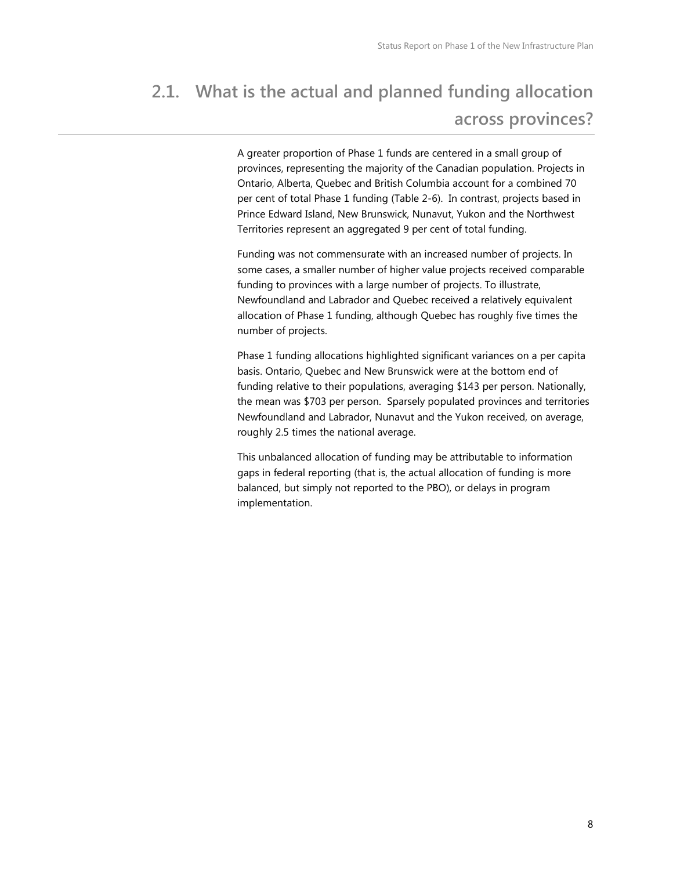### **2.1. What is the actual and planned funding allocation across provinces?**

A greater proportion of Phase 1 funds are centered in a small group of provinces, representing the majority of the Canadian population. Projects in Ontario, Alberta, Quebec and British Columbia account for a combined 70 per cent of total Phase 1 funding (Table 2-6). In contrast, projects based in Prince Edward Island, New Brunswick, Nunavut, Yukon and the Northwest Territories represent an aggregated 9 per cent of total funding.

Funding was not commensurate with an increased number of projects. In some cases, a smaller number of higher value projects received comparable funding to provinces with a large number of projects. To illustrate, Newfoundland and Labrador and Quebec received a relatively equivalent allocation of Phase 1 funding, although Quebec has roughly five times the number of projects.

Phase 1 funding allocations highlighted significant variances on a per capita basis. Ontario, Quebec and New Brunswick were at the bottom end of funding relative to their populations, averaging \$143 per person. Nationally, the mean was \$703 per person. Sparsely populated provinces and territories Newfoundland and Labrador, Nunavut and the Yukon received, on average, roughly 2.5 times the national average.

This unbalanced allocation of funding may be attributable to information gaps in federal reporting (that is, the actual allocation of funding is more balanced, but simply not reported to the PBO), or delays in program implementation.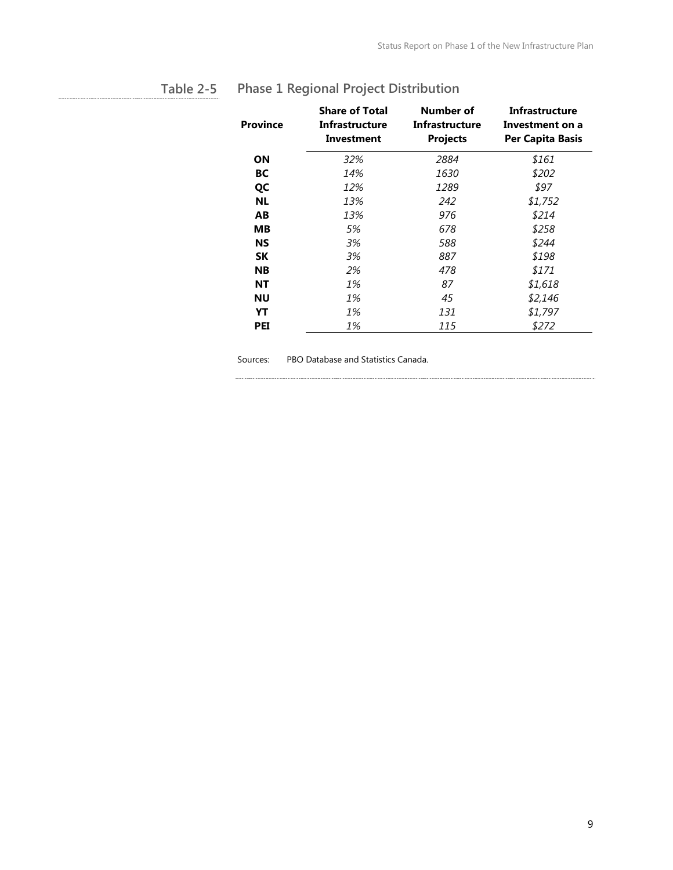| <b>Province</b> | <b>Share of Total</b><br>Infrastructure<br>Investment | Number of<br>Infrastructure<br><b>Projects</b> | Infrastructure<br>Investment on a<br><b>Per Capita Basis</b> |
|-----------------|-------------------------------------------------------|------------------------------------------------|--------------------------------------------------------------|
| ΟN              | 32%                                                   | 2884                                           | \$161                                                        |
| BС              | 14%                                                   | 1630                                           | \$202                                                        |
| QC              | 12%                                                   | 1289                                           | \$97                                                         |
| <b>NL</b>       | 13%                                                   | 242                                            | \$1,752                                                      |
| AB              | 13%                                                   | 976                                            | \$214                                                        |
| MВ              | 5%                                                    | 678                                            | \$258                                                        |
| NS              | 3%                                                    | 588                                            | \$244                                                        |
| SΚ              | 3%                                                    | 887                                            | \$198                                                        |
| <b>NB</b>       | 2%                                                    | 478                                            | \$171                                                        |
| ΝT              | 1%                                                    | 87                                             | \$1,618                                                      |
| ΝU              | 1%                                                    | 45                                             | \$2,146                                                      |
| YT              | 1%                                                    | 131                                            | \$1,797                                                      |
| <b>PEI</b>      | 1%                                                    | 115                                            | \$272                                                        |

### <span id="page-10-0"></span>**Phase 1 Regional Project Distribution Table 2-5**

Sources: PBO Database and Statistics Canada.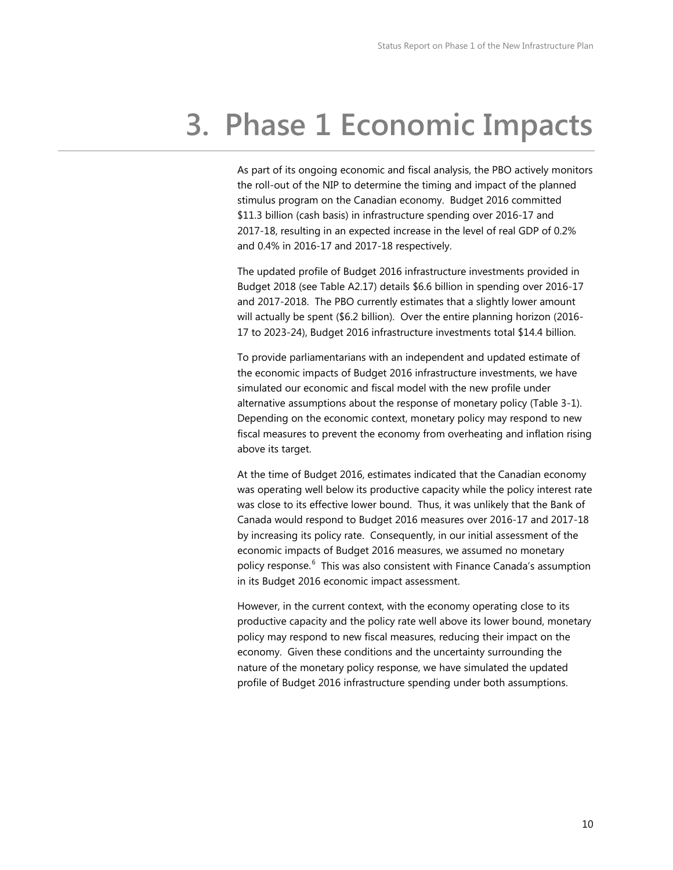# **3. Phase 1 Economic Impacts**

As part of its ongoing economic and fiscal analysis, the PBO actively monitors the roll-out of the NIP to determine the timing and impact of the planned stimulus program on the Canadian economy. Budget 2016 committed \$11.3 billion (cash basis) in infrastructure spending over 2016-17 and 2017-18, resulting in an expected increase in the level of real GDP of 0.2% and 0.4% in 2016-17 and 2017-18 respectively.

The updated profile of Budget 2016 infrastructure investments provided in Budget 2018 (see Table A2.17) details \$6.6 billion in spending over 2016-17 and 2017-2018. The PBO currently estimates that a slightly lower amount will actually be spent (\$6.2 billion). Over the entire planning horizon (2016- 17 to 2023-24), Budget 2016 infrastructure investments total \$14.4 billion.

To provide parliamentarians with an independent and updated estimate of the economic impacts of Budget 2016 infrastructure investments, we have simulated our economic and fiscal model with the new profile under alternative assumptions about the response of monetary policy (Table 3-1). Depending on the economic context, monetary policy may respond to new fiscal measures to prevent the economy from overheating and inflation rising above its target.

At the time of Budget 2016, estimates indicated that the Canadian economy was operating well below its productive capacity while the policy interest rate was close to its effective lower bound. Thus, it was unlikely that the Bank of Canada would respond to Budget 2016 measures over 2016-17 and 2017-18 by increasing its policy rate. Consequently, in our initial assessment of the economic impacts of Budget 2016 measures, we assumed no monetary policy response.<sup>[6](#page-15-6)</sup> This was also consistent with Finance Canada's assumption in its Budget 2016 economic impact assessment.

However, in the current context, with the economy operating close to its productive capacity and the policy rate well above its lower bound, monetary policy may respond to new fiscal measures, reducing their impact on the economy. Given these conditions and the uncertainty surrounding the nature of the monetary policy response, we have simulated the updated profile of Budget 2016 infrastructure spending under both assumptions.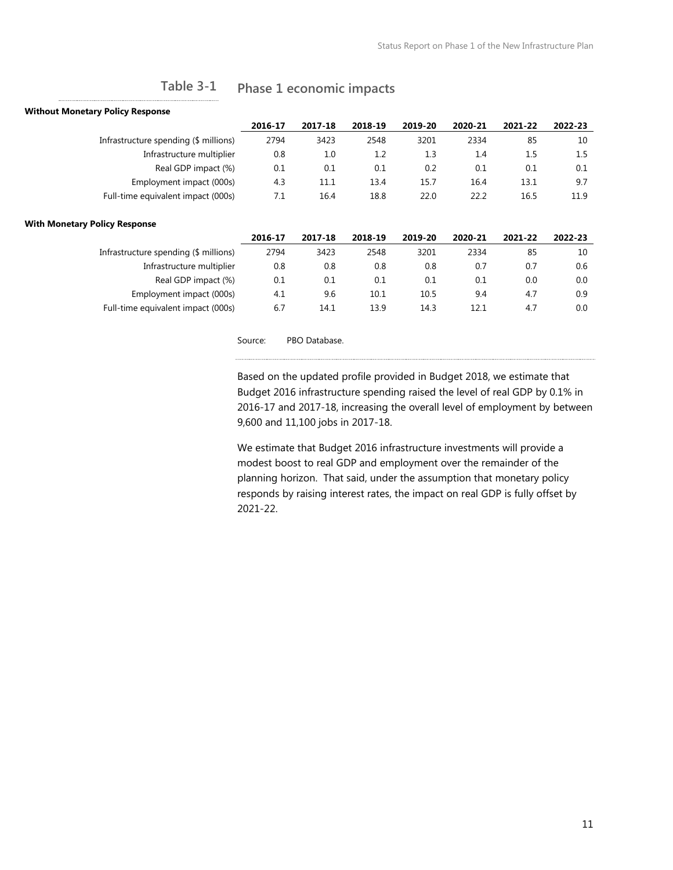### **Phase 1 economic impacts Table 3-1**

### <span id="page-12-0"></span>**Without Monetary Policy Response**

|                                       | 2016-17 | 2017-18 | 2018-19 | 2019-20 | 2020-21 | 2021-22 | 2022-23 |
|---------------------------------------|---------|---------|---------|---------|---------|---------|---------|
| Infrastructure spending (\$ millions) | 2794    | 3423    | 2548    | 3201    | 2334    | 85      | 10      |
| Infrastructure multiplier             | 0.8     | 1.0     | 1.2     | 1.3     | 1.4     | 1.5     | $1.5\,$ |
| Real GDP impact (%)                   | 0.1     | 0.1     | 0.1     | 0.2     | 0.1     | 0.1     | 0.1     |
| Employment impact (000s)              | 4.3     | 11.1    | 13.4    | 15.7    | 16.4    | 13.1    | 9.7     |
| Full-time equivalent impact (000s)    | 7.1     | 16.4    | 18.8    | 22.0    | 22.2    | 16.5    | 11.9    |
|                                       |         |         |         |         |         |         |         |

### **With Monetary Policy Response**

|                                       | 2016-17 | 2017-18 | 2018-19 | 2019-20 | 2020-21 | 2021-22 | 2022-23 |
|---------------------------------------|---------|---------|---------|---------|---------|---------|---------|
| Infrastructure spending (\$ millions) | 2794    | 3423    | 2548    | 3201    | 2334    | 85      | 10      |
| Infrastructure multiplier             | 0.8     | 0.8     | 0.8     | 0.8     | 0.7     | 0.7     | 0.6     |
| Real GDP impact (%)                   | 0.1     | 0.1     | 0.1     | $0.1\,$ | 0.1     | 0.0     | 0.0     |
| Employment impact (000s)              | 4.1     | 9.6     | 10.1    | 10.5    | 9.4     | 4.7     | 0.9     |
| Full-time equivalent impact (000s)    | 6.7     | 14.1    | 13.9    | 14.3    | 12.1    | 4.7     | 0.0     |

Source: PBO Database.

Based on the updated profile provided in Budget 2018, we estimate that Budget 2016 infrastructure spending raised the level of real GDP by 0.1% in 2016-17 and 2017-18, increasing the overall level of employment by between 9,600 and 11,100 jobs in 2017-18.

We estimate that Budget 2016 infrastructure investments will provide a modest boost to real GDP and employment over the remainder of the planning horizon. That said, under the assumption that monetary policy responds by raising interest rates, the impact on real GDP is fully offset by 2021-22.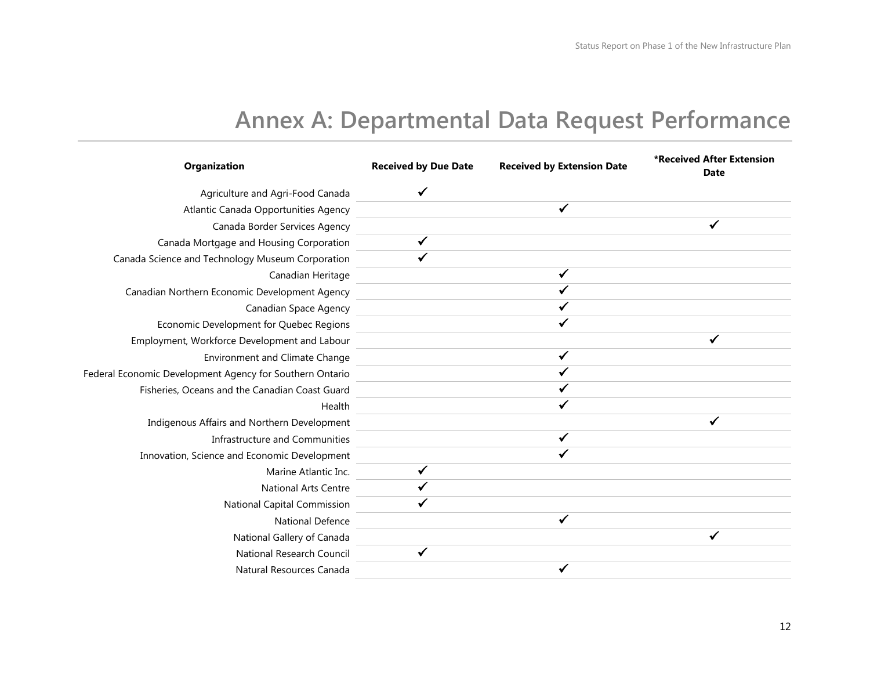### **Annex A: Departmental Data Request Performance**

| Organization                                             | <b>Received by Due Date</b> | <b>Received by Extension Date</b> | *Received After Extension<br><b>Date</b> |
|----------------------------------------------------------|-----------------------------|-----------------------------------|------------------------------------------|
| Agriculture and Agri-Food Canada                         |                             |                                   |                                          |
| Atlantic Canada Opportunities Agency                     |                             | $\checkmark$                      |                                          |
| Canada Border Services Agency                            |                             |                                   | $\checkmark$                             |
| Canada Mortgage and Housing Corporation                  | $\checkmark$                |                                   |                                          |
| Canada Science and Technology Museum Corporation         |                             |                                   |                                          |
| Canadian Heritage                                        |                             | ✓                                 |                                          |
| Canadian Northern Economic Development Agency            |                             |                                   |                                          |
| Canadian Space Agency                                    |                             |                                   |                                          |
| Economic Development for Quebec Regions                  |                             |                                   |                                          |
| Employment, Workforce Development and Labour             |                             |                                   | ✓                                        |
| <b>Environment and Climate Change</b>                    |                             | ✓                                 |                                          |
| Federal Economic Development Agency for Southern Ontario |                             |                                   |                                          |
| Fisheries, Oceans and the Canadian Coast Guard           |                             |                                   |                                          |
| Health                                                   |                             |                                   |                                          |
| Indigenous Affairs and Northern Development              |                             |                                   |                                          |
| Infrastructure and Communities                           |                             | $\checkmark$                      |                                          |
| Innovation, Science and Economic Development             |                             | ✔                                 |                                          |
| Marine Atlantic Inc.                                     | ✓                           |                                   |                                          |
| <b>National Arts Centre</b>                              |                             |                                   |                                          |
| National Capital Commission                              |                             |                                   |                                          |
| <b>National Defence</b>                                  |                             | √                                 |                                          |
| National Gallery of Canada                               |                             |                                   |                                          |
| National Research Council                                | $\checkmark$                |                                   |                                          |
| Natural Resources Canada                                 |                             |                                   |                                          |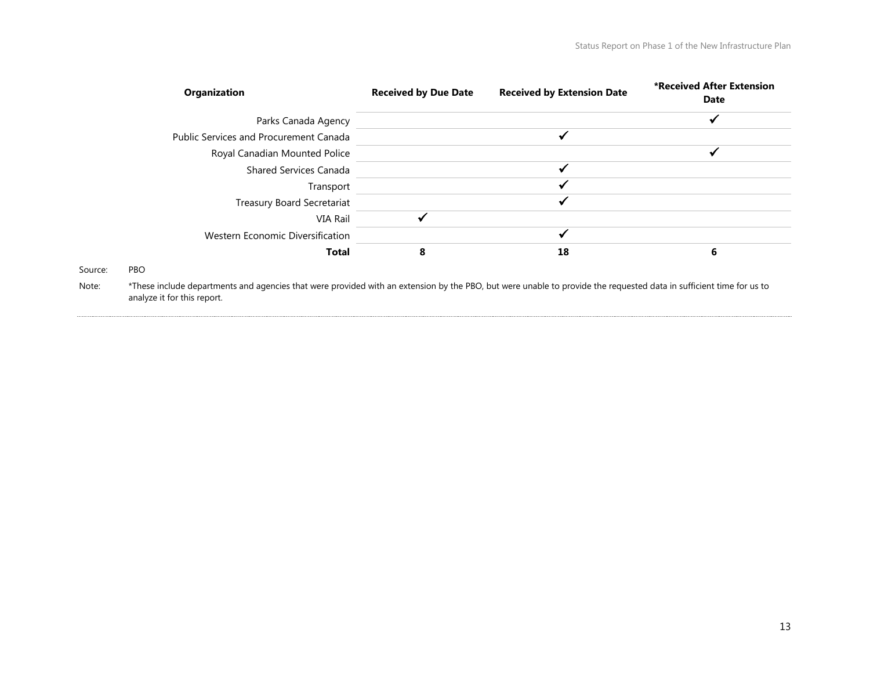| <b>Organization</b>                           | <b>Received by Due Date</b> | <b>Received by Extension Date</b> | *Received After Extension<br>Date |
|-----------------------------------------------|-----------------------------|-----------------------------------|-----------------------------------|
| Parks Canada Agency                           |                             |                                   | ✔                                 |
| <b>Public Services and Procurement Canada</b> |                             |                                   |                                   |
| Royal Canadian Mounted Police                 |                             |                                   |                                   |
| <b>Shared Services Canada</b>                 |                             |                                   |                                   |
| Transport                                     |                             |                                   |                                   |
| <b>Treasury Board Secretariat</b>             |                             | ↵                                 |                                   |
| VIA Rail                                      |                             |                                   |                                   |
| Western Economic Diversification              |                             |                                   |                                   |
| <b>Total</b>                                  | 8                           | 18                                | 6                                 |
| Source:<br><b>PBO</b>                         |                             |                                   |                                   |

Note: \*These include departments and agencies that were provided with an extension by the PBO, but were unable to provide the requested data in sufficient time for us to analyze it for this report.